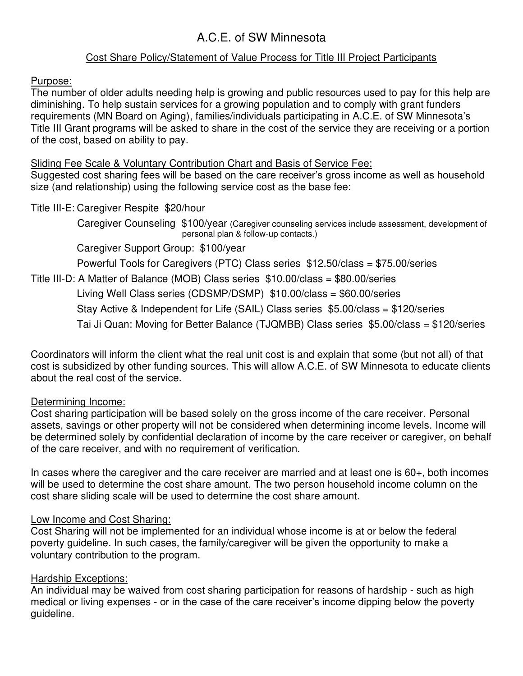# A.C.E. of SW Minnesota

# Cost Share Policy/Statement of Value Process for Title III Project Participants

Purpose:

The number of older adults needing help is growing and public resources used to pay for this help are diminishing. To help sustain services for a growing population and to comply with grant funders requirements (MN Board on Aging), families/individuals participating in A.C.E. of SW Minnesota's Title III Grant programs will be asked to share in the cost of the service they are receiving or a portion of the cost, based on ability to pay.

## Sliding Fee Scale & Voluntary Contribution Chart and Basis of Service Fee:

Suggested cost sharing fees will be based on the care receiver's gross income as well as household size (and relationship) using the following service cost as the base fee:

## Title III-E: Caregiver Respite \$20/hour

 Caregiver Counseling \$100/year (Caregiver counseling services include assessment, development of personal plan & follow-up contacts.)

Caregiver Support Group: \$100/year

Powerful Tools for Caregivers (PTC) Class series \$12.50/class = \$75.00/series

Title III-D: A Matter of Balance (MOB) Class series \$10.00/class = \$80.00/series

Living Well Class series (CDSMP/DSMP) \$10.00/class = \$60.00/series

Stay Active & Independent for Life (SAIL) Class series \$5.00/class = \$120/series

Tai Ji Quan: Moving for Better Balance (TJQMBB) Class series \$5.00/class = \$120/series

Coordinators will inform the client what the real unit cost is and explain that some (but not all) of that cost is subsidized by other funding sources. This will allow A.C.E. of SW Minnesota to educate clients about the real cost of the service.

## Determining Income:

Cost sharing participation will be based solely on the gross income of the care receiver. Personal assets, savings or other property will not be considered when determining income levels. Income will be determined solely by confidential declaration of income by the care receiver or caregiver, on behalf of the care receiver, and with no requirement of verification.

In cases where the caregiver and the care receiver are married and at least one is 60+, both incomes will be used to determine the cost share amount. The two person household income column on the cost share sliding scale will be used to determine the cost share amount.

## Low Income and Cost Sharing:

Cost Sharing will not be implemented for an individual whose income is at or below the federal poverty guideline. In such cases, the family/caregiver will be given the opportunity to make a voluntary contribution to the program.

# Hardship Exceptions:

An individual may be waived from cost sharing participation for reasons of hardship - such as high medical or living expenses - or in the case of the care receiver's income dipping below the poverty guideline.